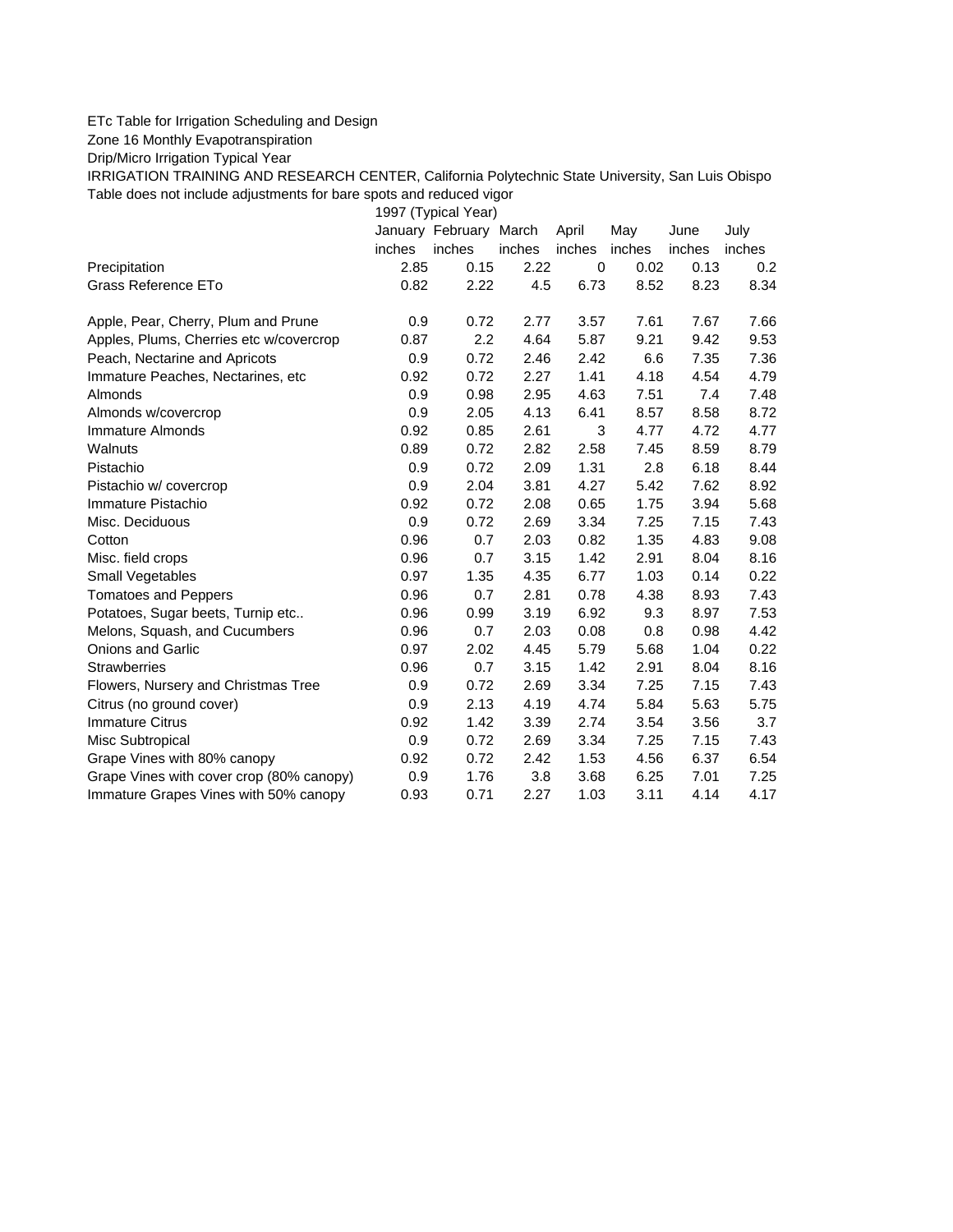## ETc Table for Irrigation Scheduling and Design

Zone 16 Monthly Evapotranspiration

Drip/Micro Irrigation Typical Year

IRRIGATION TRAINING AND RESEARCH CENTER, California Polytechnic State University, San Luis Obispo Table does not include adjustments for bare spots and reduced vigor

1997 (Typical Year)

|                                          |        | January February March |        | April  | May    | June   | July   |
|------------------------------------------|--------|------------------------|--------|--------|--------|--------|--------|
|                                          | inches | inches                 | inches | inches | inches | inches | inches |
| Precipitation                            | 2.85   | 0.15                   | 2.22   | 0      | 0.02   | 0.13   | 0.2    |
| Grass Reference ETo                      | 0.82   | 2.22                   | 4.5    | 6.73   | 8.52   | 8.23   | 8.34   |
| Apple, Pear, Cherry, Plum and Prune      | 0.9    | 0.72                   | 2.77   | 3.57   | 7.61   | 7.67   | 7.66   |
| Apples, Plums, Cherries etc w/covercrop  | 0.87   | 2.2                    | 4.64   | 5.87   | 9.21   | 9.42   | 9.53   |
| Peach, Nectarine and Apricots            | 0.9    | 0.72                   | 2.46   | 2.42   | 6.6    | 7.35   | 7.36   |
| Immature Peaches, Nectarines, etc        | 0.92   | 0.72                   | 2.27   | 1.41   | 4.18   | 4.54   | 4.79   |
| Almonds                                  | 0.9    | 0.98                   | 2.95   | 4.63   | 7.51   | 7.4    | 7.48   |
| Almonds w/covercrop                      | 0.9    | 2.05                   | 4.13   | 6.41   | 8.57   | 8.58   | 8.72   |
| Immature Almonds                         | 0.92   | 0.85                   | 2.61   | 3      | 4.77   | 4.72   | 4.77   |
| Walnuts                                  | 0.89   | 0.72                   | 2.82   | 2.58   | 7.45   | 8.59   | 8.79   |
| Pistachio                                | 0.9    | 0.72                   | 2.09   | 1.31   | 2.8    | 6.18   | 8.44   |
| Pistachio w/ covercrop                   | 0.9    | 2.04                   | 3.81   | 4.27   | 5.42   | 7.62   | 8.92   |
| Immature Pistachio                       | 0.92   | 0.72                   | 2.08   | 0.65   | 1.75   | 3.94   | 5.68   |
| Misc. Deciduous                          | 0.9    | 0.72                   | 2.69   | 3.34   | 7.25   | 7.15   | 7.43   |
| Cotton                                   | 0.96   | 0.7                    | 2.03   | 0.82   | 1.35   | 4.83   | 9.08   |
| Misc. field crops                        | 0.96   | 0.7                    | 3.15   | 1.42   | 2.91   | 8.04   | 8.16   |
| Small Vegetables                         | 0.97   | 1.35                   | 4.35   | 6.77   | 1.03   | 0.14   | 0.22   |
| <b>Tomatoes and Peppers</b>              | 0.96   | 0.7                    | 2.81   | 0.78   | 4.38   | 8.93   | 7.43   |
| Potatoes, Sugar beets, Turnip etc        | 0.96   | 0.99                   | 3.19   | 6.92   | 9.3    | 8.97   | 7.53   |
| Melons, Squash, and Cucumbers            | 0.96   | 0.7                    | 2.03   | 0.08   | 0.8    | 0.98   | 4.42   |
| <b>Onions and Garlic</b>                 | 0.97   | 2.02                   | 4.45   | 5.79   | 5.68   | 1.04   | 0.22   |
| <b>Strawberries</b>                      | 0.96   | 0.7                    | 3.15   | 1.42   | 2.91   | 8.04   | 8.16   |
| Flowers, Nursery and Christmas Tree      | 0.9    | 0.72                   | 2.69   | 3.34   | 7.25   | 7.15   | 7.43   |
| Citrus (no ground cover)                 | 0.9    | 2.13                   | 4.19   | 4.74   | 5.84   | 5.63   | 5.75   |
| <b>Immature Citrus</b>                   | 0.92   | 1.42                   | 3.39   | 2.74   | 3.54   | 3.56   | 3.7    |
| Misc Subtropical                         | 0.9    | 0.72                   | 2.69   | 3.34   | 7.25   | 7.15   | 7.43   |
| Grape Vines with 80% canopy              | 0.92   | 0.72                   | 2.42   | 1.53   | 4.56   | 6.37   | 6.54   |
| Grape Vines with cover crop (80% canopy) | 0.9    | 1.76                   | 3.8    | 3.68   | 6.25   | 7.01   | 7.25   |
| Immature Grapes Vines with 50% canopy    | 0.93   | 0.71                   | 2.27   | 1.03   | 3.11   | 4.14   | 4.17   |